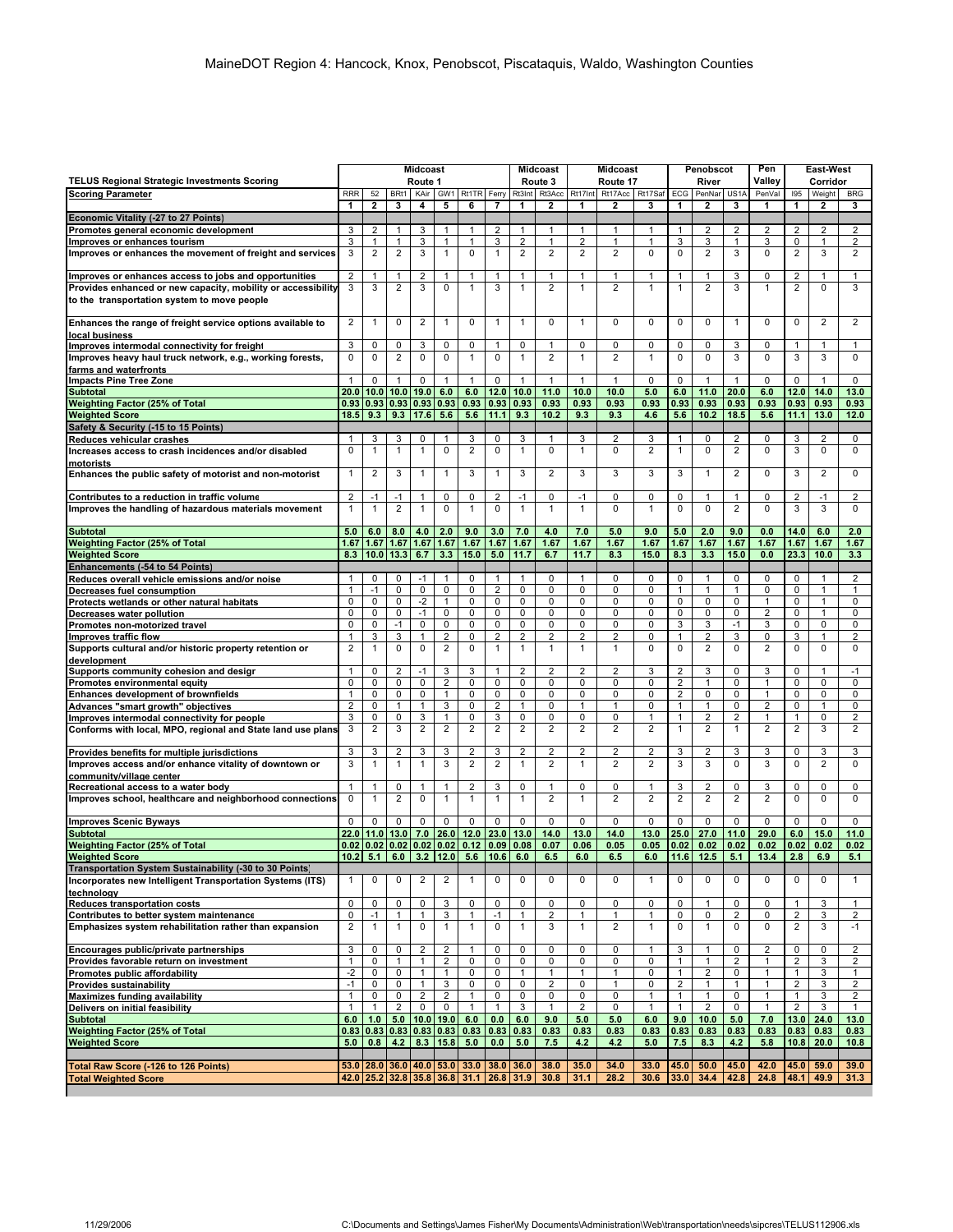|                                                                                                    | <b>Midcoast</b>             |                      |                     |                         |                              |                                         |                   |                                     | <b>Midcoast</b>              | <b>Midcoast</b>     |                     |                                | <b>Penobscot</b>                        |                     |                                  | Pen                     | <b>East West</b>               |                                   |                                |
|----------------------------------------------------------------------------------------------------|-----------------------------|----------------------|---------------------|-------------------------|------------------------------|-----------------------------------------|-------------------|-------------------------------------|------------------------------|---------------------|---------------------|--------------------------------|-----------------------------------------|---------------------|----------------------------------|-------------------------|--------------------------------|-----------------------------------|--------------------------------|
| <b>TELUS Regional Strategic Investments Scoring</b>                                                | Route 1<br>Rt1TR Ferry      |                      |                     |                         | Route 3                      |                                         | Route 17          |                                     |                              | River               |                     |                                | Valley                                  |                     | Corridor                         |                         |                                |                                   |                                |
| <b>Scoring Parameter</b>                                                                           | <b>RRR</b><br>1             | 52<br>$\overline{2}$ | BRt1<br>3           | KAir<br>4               | GW1<br>5                     | 6                                       | 7                 | Rt3Int<br>1                         | Rt3Acc<br>2                  | Rt17Int<br>1        | Rt17Acc<br>2        | Rt17Saf<br>3                   | ECG<br>1                                | PenNar<br>2         | US <sub>1</sub> A<br>3           | PenVal<br>1             | 195<br>1                       | Weight<br>$\overline{\mathbf{2}}$ | <b>BRG</b><br>3                |
| Economic Vitality (-27 to 27 Points)                                                               |                             |                      |                     |                         |                              |                                         |                   |                                     |                              |                     |                     |                                |                                         |                     |                                  |                         |                                |                                   |                                |
| Promotes general economic development                                                              | 3                           | 2                    | $\mathbf{1}$        | 3                       | $\mathbf{1}$                 | $\mathbf{1}$                            | 2                 | $\mathbf{1}$                        | $\mathbf{1}$                 | 1                   | $\mathbf{1}$        | $\mathbf{1}$                   | $\mathbf{1}$                            | 2                   | 2                                | 2                       | 2                              | 2                                 | $\overline{2}$                 |
| Improves or enhances tourism                                                                       | 3                           | 1                    | 1                   | 3                       | $\mathbf{1}$                 | $\mathbf{1}$                            | 3                 | 2                                   | 1                            | 2                   | 1                   | $\mathbf{1}$                   | 3                                       | 3                   | 1                                | 3                       | 0                              | 1                                 | $\overline{2}$                 |
| Improves or enhances the movement of freight and services                                          | 3                           | 2                    | 2                   | 3                       | $\mathbf{1}$                 | 0                                       | $\mathbf{1}$      | $\overline{2}$                      | $\overline{2}$               | 2                   | $\overline{2}$      | $\mathbf 0$                    | $\mathbf 0$                             | $\overline{2}$      | 3                                | 0                       | $\overline{c}$                 | 3                                 | $\overline{2}$                 |
| Improves or enhances access to jobs and opportunities                                              | $\overline{2}$              | 1                    | 1                   | 2                       | 1                            | 1                                       | 1                 | 1                                   | $\mathbf{1}$                 | 1                   | 1                   | $\mathbf{1}$                   | 1                                       | 1                   | 3                                | 0                       | 2                              | 1                                 | $\mathbf{1}$                   |
| Provides enhanced or new capacity, mobility or accessibility                                       | 3                           | 3                    | 2                   | 3                       | $\mathbf 0$                  | $\mathbf{1}$                            | 3                 | 1                                   | $\overline{2}$               | 1                   | $\overline{2}$      | $\mathbf{1}$                   | $\mathbf{1}$                            | $\overline{2}$      | 3                                | $\mathbf{1}$            | $\overline{2}$                 | $\mathbf 0$                       | 3                              |
| to the transportation system to move people                                                        |                             |                      |                     |                         |                              |                                         |                   |                                     |                              |                     |                     |                                |                                         |                     |                                  |                         |                                |                                   |                                |
| Enhances the range of freight service options available to<br>local business                       | $\overline{c}$              | 1                    | 0                   | 2                       | $\mathbf{1}$                 | $\Omega$                                | 1                 | 1                                   | 0                            | 1                   | 0                   | $\mathbf 0$                    | 0                                       | 0                   | $\mathbf{1}$                     | 0                       | 0                              | $\overline{2}$                    | $\overline{2}$                 |
| Improves intermodal connectivity for freight                                                       | 3                           | 0                    | 0                   | 3                       | 0                            | 0                                       | 1                 | 0                                   | 1                            | 0                   | 0                   | $\mathsf 0$                    | 0                                       | 0                   | 3                                | 0                       | 1                              | $\mathbf{1}$                      | $\mathbf{1}$                   |
| Improves heavy haul truck network, e.g., working forests,                                          | 0                           | $\Omega$             | 2                   | $\mathbf 0$             | $\mathbf 0$                  | $\mathbf{1}$                            | 0                 | 1                                   | $\overline{2}$               | 1                   | $\overline{2}$      | $\mathbf{1}$                   | $\mathbf 0$                             | $\mathbf 0$         | 3                                | $\mathbf 0$             | 3                              | 3                                 | $\mathbf 0$                    |
| farms and waterfronts<br><b>Impacts Pine Tree Zone</b>                                             | $\mathbf{1}$                | $\mathbf 0$          | $\mathbf{1}$        | 0                       | $\mathbf{1}$                 | $\mathbf{1}$                            | 0                 | $\mathbf{1}$                        | 1                            | 1                   | $\mathbf{1}$        | $\mathbf 0$                    | $\mathbf 0$                             | $\overline{1}$      | $\mathbf{1}$                     | 0                       | $\mathbf 0$                    | $\mathbf{1}$                      | $\mathbf 0$                    |
| <b>Subtotal</b>                                                                                    | 20.0                        | 10.0                 | 10.0                | 19.0                    | 6.0                          | 6.0                                     | 12.0              | 10.0                                | 11.0                         | 10.0                | 10.0                | 5.0                            | 6.0                                     | 11.0                | 20.0                             | 6.0                     | 12.0                           | 14.0                              | 13.0                           |
| <b>Weighting Factor (25% of Total</b>                                                              | 0.93                        | 0.93                 | 0.93                | 0.93                    | 0.93                         | 0.93                                    | 0.93              | 0.93                                | 0.93                         | 0.93                | 0.93                | 0.93                           | 0.93                                    | 0.93                | 0.93                             | 0.93                    | 0.93                           | 0.93                              | 0.93                           |
| <b>Weighted Score</b>                                                                              | 18.5                        | 9.3                  | 9.3                 | 17.6                    | 5.6                          | 5.6                                     | 11.1              | 9.3                                 | 10.2                         | 9.3                 | 9.3                 | 4.6                            | 5.6                                     | 10.2                | 18.5                             | 5.6                     | 11.1                           | 13.0                              | 12.0                           |
| Safety & Security (-15 to 15 Points)                                                               |                             |                      |                     |                         |                              |                                         |                   |                                     |                              |                     |                     |                                |                                         |                     |                                  |                         |                                |                                   |                                |
| Reduces vehicular crashes<br>Increases access to crash incidences and/or disabled                  | -1<br>$\Omega$              | 3                    | 3<br>1              | 0<br>1                  | 1<br>$\mathbf 0$             | 3<br>$\overline{2}$                     | 0<br>0            | 3<br>1                              | 1<br>$\mathbf 0$             | 3<br>1              | 2<br>$\mathbf 0$    | 3<br>$\overline{2}$            | 1<br>$\mathbf{1}$                       | 0<br>$\mathbf 0$    | $\overline{c}$<br>$\overline{2}$ | 0<br>$\mathbf 0$        | 3<br>3                         | $\overline{2}$<br>$\mathbf 0$     | 0<br>$\mathbf 0$               |
| motorists                                                                                          |                             |                      |                     |                         |                              |                                         |                   |                                     |                              |                     |                     |                                |                                         |                     |                                  |                         |                                |                                   |                                |
| Enhances the public safety of motorist and non-motorist                                            | $\mathbf{1}$                | $\overline{2}$       | 3                   | 1                       | $\mathbf{1}$                 | 3                                       | $\mathbf{1}$      | 3                                   | $\overline{2}$               | 3                   | 3                   | $\mathbf{3}$                   | 3                                       | $\mathbf{1}$        | $\overline{2}$                   | 0                       | 3                              | $\overline{2}$                    | $\mathbf 0$                    |
| Contributes to a reduction in traffic volume                                                       | $\overline{2}$              | $-1$                 | $-1$                | 1                       | $\mathbf 0$                  | 0                                       | $\overline{2}$    | $-1$                                | 0                            | $-1$                | $\mathbf 0$         | $\mathsf 0$                    | $\mathbf 0$                             | 1                   | $\mathbf{1}$                     | 0                       | $\overline{2}$                 | $-1$                              | $\overline{2}$                 |
| Improves the handling of hazardous materials movement                                              | $\mathbf{1}$                | 1                    | $\overline{2}$      | 1                       | $\mathbf 0$                  | 1                                       | 0                 | $\mathbf{1}$                        | 1                            | 1                   | 0                   | $\mathbf{1}$                   | $\mathbf 0$                             | 0                   | $\overline{2}$                   | 0                       | 3                              | 3                                 | $\mathbf 0$                    |
| <b>Subtotal</b>                                                                                    | 5.0                         | 6.0                  | 8.0                 | 4.0                     | 2.0                          | 9.0                                     | 3.0               | 7.0                                 | 4.0                          | 7.0                 | 5.0                 | 9.0                            | 5.0                                     | 2.0                 | 9.0                              | 0.0                     | 14.0                           | 6.0                               | 2.0                            |
| <b>Weighting Factor (25% of Total</b>                                                              | 1.67                        | 1.67                 | 1.67                | 1.67                    | 1.67                         | 1.67                                    | 1.67              | 1.67                                | 1.67                         | 1.67                | 1.67                | 1.67                           | 1.67                                    | 1.67                | 1.67                             | 1.67                    | 1.67                           | 1.67                              | 1.67                           |
| <b>Weighted Score</b>                                                                              | 8.3                         |                      | $10.0$ 13.3         | 6.7                     | 3.3                          | 15.0                                    | 5.0               | 11.7                                | 6.7                          | 11.7                | 8.3                 | 15.0                           | 8.3                                     | 3.3                 | 15.0                             | 0.0                     | 23.3                           | 10.0                              | 3.3                            |
| Enhancements (-54 to 54 Points)                                                                    |                             |                      |                     |                         |                              |                                         |                   |                                     |                              |                     |                     |                                |                                         |                     |                                  |                         |                                |                                   |                                |
| Reduces overall vehicle emissions and/or noise<br>Decreases fuel consumption                       | 1<br>$\mathbf{1}$           | 0<br>$-1$            | 0<br>$\mathbf 0$    | -1<br>0                 | 1<br>$\pmb{0}$               | 0<br>0                                  | 1<br>2            | 1<br>0                              | 0<br>0                       | 1<br>0              | 0<br>$\mathbf 0$    | 0<br>$\mathbf 0$               | 0<br>$\mathbf{1}$                       | $\mathbf{1}$<br>1   | 0<br>$\mathbf{1}$                | 0<br>0                  | 0<br>$\mathbf 0$               | 1<br>$\mathbf{1}$                 | 2<br>$\mathbf{1}$              |
| Protects wetlands or other natural habitats                                                        | 0                           | 0                    | 0                   | $-2$                    | $\mathbf{1}$                 | 0                                       | 0                 | 0                                   | 0                            | 0                   | 0                   | 0                              | 0                                       | 0                   | 0                                | 1                       | 0                              | $\mathbf{1}$                      | $\pmb{0}$                      |
| Decreases water pollution                                                                          | 0                           | 0                    | 0                   | $-1$                    | 0                            | 0                                       | 0                 | 0                                   | 0                            | 0                   | 0                   | $\mathbf 0$                    | 0                                       | 0                   | 0                                | $\overline{\mathbf{c}}$ | 0                              | $\mathbf{1}$                      | 0                              |
| Promotes non-motorized travel                                                                      | 0                           | 0                    | $-1$                | 0                       | 0                            | 0                                       | 0                 | 0                                   | 0                            | 0                   | 0                   | 0                              | 3                                       | 3                   | $-1$                             | 3                       | 0                              | 0                                 | $\pmb{0}$                      |
| Improves traffic flow                                                                              | $\mathbf{1}$                | 3                    | 3                   | $\mathbf{1}$            | $\overline{2}$               | 0                                       | $\overline{2}$    | 2                                   | $\overline{2}$               | 2                   | $\overline{2}$      | $\mathsf 0$                    | $\mathbf{1}$                            | 2                   | 3                                | 0                       | 3                              | $\mathbf{1}$                      | $\overline{2}$                 |
| Supports cultural and/or historic property retention or<br>development                             | $\overline{2}$              | 1                    | $\mathbf 0$         | 0                       | $\overline{2}$               | 0                                       | $\mathbf{1}$      | 1                                   | 1                            | 1                   | $\mathbf{1}$        | $\Omega$                       | $\mathbf 0$                             | 2                   | $\Omega$                         | $\overline{2}$          | $\mathbf 0$                    | $\Omega$                          | $\mathbf 0$                    |
| Supports community cohesion and design                                                             | $\mathbf{1}$<br>$\mathbf 0$ | 0<br>$\mathbf 0$     | 2<br>$\mathbf 0$    | $-1$<br>0               | 3<br>$\overline{2}$          | 3<br>0                                  | 1<br>0            | $\overline{\mathbf{c}}$<br>$\Omega$ | 2<br>$\mathbf 0$             | $\overline{2}$<br>0 | 2<br>$\mathbf 0$    | 3<br>$\mathbf 0$               | 2<br>$\overline{2}$                     | 3<br>$\mathbf{1}$   | $\mathbf 0$<br>$\mathbf 0$       | 3<br>$\mathbf{1}$       | $\mathbf 0$<br>$\mathbf 0$     | $\mathbf{1}$<br>$\mathbf 0$       | $-1$<br>$\mathbf 0$            |
| Promotes environmental equity<br>Enhances development of brownfields                               | $\mathbf{1}$                | $\mathbf 0$          | 0                   | 0                       | $\mathbf{1}$                 | 0                                       | 0                 | 0                                   | 0                            | 0                   | 0                   | $\mathbf 0$                    | $\overline{c}$                          | 0                   | 0                                | $\mathbf{1}$            | $\mathbf 0$                    | $\mathbf 0$                       | $\mathbf 0$                    |
| Advances "smart growth" objectives                                                                 | $\overline{2}$              | 0                    | $\mathbf{1}$        | $\mathbf{1}$            | 3                            | 0                                       | 2                 | 1                                   | $\pmb{0}$                    | $\mathbf{1}$        | $\mathbf{1}$        | $\mathsf 0$                    | $\mathbf{1}$                            | $\mathbf{1}$        | 0                                | $\overline{2}$          | 0                              | $\mathbf{1}$                      | $\pmb{0}$                      |
| Improves intermodal connectivity for people                                                        | 3                           | 0                    | 0                   | 3                       | 1                            | 0                                       | 3                 | 0                                   | 0                            | 0                   | 0                   | $\mathbf{1}$                   | $\mathbf{1}$                            | 2                   | 2                                | $\mathbf{1}$            | 1                              | $\mathbf 0$                       | $\overline{\mathbf{c}}$        |
| Conforms with local, MPO, regional and State land use plans                                        | 3                           | 2                    | 3                   | 2                       | $\overline{2}$               | $\overline{\mathbf{c}}$                 | 2                 | $\overline{\mathbf{c}}$             | $\overline{2}$               | 2                   | $\overline{2}$      | $\overline{2}$                 | $\mathbf{1}$                            | 2                   | $\mathbf{1}$                     | $\overline{2}$          | $\overline{2}$                 | 3                                 | $\overline{2}$                 |
| Provides benefits for multiple jurisdictions                                                       | 3                           | 3                    | 2                   | 3                       | 3                            | 2                                       | 3                 | 2                                   | 2                            | 2                   | 2                   | $\overline{2}$                 | 3                                       | 2                   | 3                                | 3                       | 0                              | 3                                 | 3                              |
| Improves access and/or enhance vitality of downtown or<br>community/village center                 | 3                           | $\mathbf{1}$         | 1                   | $\mathbf{1}$            | 3                            | $\overline{\mathbf{c}}$                 | $\overline{2}$    | $\mathbf{1}$                        | $\overline{2}$               | 1                   | $\overline{2}$      | $\overline{2}$                 | 3                                       | 3                   | $\mathbf 0$                      | 3                       | 0                              | $\overline{2}$                    | $\mathbf 0$                    |
| Recreational access to a water body                                                                | $\mathbf{1}$<br>$\mathbf 0$ | 1<br>1               | 0<br>2              | 1<br>0                  | $\mathbf{1}$<br>$\mathbf{1}$ | $\overline{\mathbf{c}}$<br>$\mathbf{1}$ | 3<br>$\mathbf{1}$ | 0<br>1                              | 1<br>$\overline{\mathbf{c}}$ | 0<br>1              | 0<br>$\overline{2}$ | $\mathbf{1}$<br>$\overline{2}$ | 3<br>$\overline{2}$                     | $\overline{2}$<br>2 | $\mathbf 0$<br>$\overline{2}$    | 3<br>$\overline{2}$     | 0<br>$\mathbf 0$               | $\mathbf 0$<br>$\mathbf 0$        | 0<br>$\mathbf 0$               |
| Improves school, healthcare and neighborhood connections                                           |                             |                      |                     |                         |                              |                                         |                   |                                     |                              |                     |                     |                                |                                         |                     |                                  |                         |                                |                                   |                                |
| <b>Improves Scenic Byways</b><br><b>Subtotal</b>                                                   | $\mathbf 0$<br>22.0         | $\mathbf 0$<br>11.0  | $\mathbf 0$<br>13.0 | 0<br>7.0                | 0<br>26.0                    | $\mathbf 0$<br>12.0                     | 0<br>23.0         | 0<br>13.0                           | 0<br>14.0                    | 0<br>13.0           | $\mathbf 0$<br>14.0 | $\mathbf 0$<br>13.0            | $\mathbf 0$<br>25.0                     | $\mathbf 0$<br>27.0 | 0<br>11.0                        | 0<br>29.0               | $\mathbf 0$<br>6.0             | $\mathbf 0$<br>15.0               | $\mathbf 0$<br>11.0            |
| <b>Weighting Factor (25% of Total</b>                                                              | 0.02                        | 0.02                 | 0.02                | 0.02                    | 0.02                         | 0.12                                    | 0.09              | 0.08                                | 0.07                         | 0.06                | 0.05                | 0.05                           | 0.02                                    | 0.02                | 0.02                             | 0.02                    | 0.02                           | 0.02                              | 0.02                           |
| <b>Weighted Score</b>                                                                              | 10.2                        | 5.1                  | 6.0                 | 3.2                     | 12.0                         |                                         | $5.6$   10.6      | 6.0                                 | 6.5                          | 6.0                 | 6.5                 | 6.0                            | 11.6                                    | 12.5                | 5.1                              | 13.4                    | 2.8                            | 6.9                               | 5.1                            |
| Transportation System Sustainability (-30 to 30 Points)                                            |                             |                      |                     |                         |                              |                                         |                   |                                     |                              |                     |                     |                                |                                         |                     |                                  |                         |                                |                                   |                                |
| Incorporates new Intelligent Transportation Systems (ITS)                                          | $\mathbf{1}$                | 0                    | 0                   | 2                       | $\overline{2}$               | $\mathbf{1}$                            | 0                 | 0                                   | $\mathbf 0$                  | 0                   | 0                   | $\mathbf{1}$                   | 0                                       | 0                   | $\mathbf 0$                      | 0                       | 0                              | $\mathbf 0$                       | $\mathbf{1}$                   |
| technology<br>Reduces transportation costs                                                         | $\mathsf 0$                 | 0                    | 0                   | 0                       | 3                            | 0                                       | 0                 | 0                                   | 0                            | 0                   | 0                   | $\mathsf 0$                    | 0                                       | 1                   | 0                                | 0                       | $\mathbf{1}$                   | 3                                 | $\mathbf{1}$                   |
| Contributes to better system maintenance<br>Emphasizes system rehabilitation rather than expansion | $\mathsf 0$                 | $-1$                 | 1                   | $\mathbf{1}$            | 3                            | $\mathbf{1}$                            | -1                | 1                                   | $\overline{2}$               | $\mathbf{1}$        | $\mathbf{1}$        | $\mathbf{1}$                   | 0                                       | 0                   | $\overline{2}$                   | 0                       | $\overline{\mathbf{c}}$        | 3                                 | $\overline{2}$                 |
|                                                                                                    | 2                           | 1                    | $\mathbf{1}$        | 0                       | $\mathbf{1}$                 | $\mathbf{1}$                            | 0                 | $\mathbf{1}$                        | 3                            | $\mathbf{1}$        | $\overline{2}$      | $\mathbf{1}$                   | 0                                       | $\mathbf{1}$        | 0                                | 0                       | $\overline{c}$                 | 3                                 | $-1$                           |
| Encourages public/private partnerships<br>Provides favorable return on investment                  | 3                           | 0                    | 0                   | $\overline{2}$          | $\overline{2}$               | $\mathbf{1}$                            | 0                 | 0                                   | 0                            | 0                   | 0                   | $\mathbf{1}$                   | 3                                       | 1                   | 0                                | 2                       | 0                              | 0                                 | $\overline{2}$                 |
|                                                                                                    | $\mathbf{1}$                | 0                    | $\mathbf{1}$        | $\mathbf{1}$            | $\overline{2}$               | 0                                       | 0                 | 0                                   | 0                            | 0                   | 0                   | $\mathsf 0$                    | $\mathbf{1}$                            | $\mathbf{1}$        | $\overline{2}$                   | $\mathbf{1}$            | $\overline{2}$                 | 3                                 | $\overline{2}$                 |
| Promotes public affordability                                                                      | $-2$<br>$-1$                | 0<br>0               | 0<br>0              | $\mathbf{1}$<br>1       | $\mathbf{1}$<br>3            | 0<br>0                                  | 0<br>0            | 0                                   | 1<br>$\overline{2}$          | 0                   | $\mathbf{1}$        | $\mathsf 0$<br>0               | $\mathbf{1}$<br>$\overline{\mathbf{c}}$ | $\overline{2}$      | 0<br>$\mathbf{1}$                | $\mathbf{1}$            | $\mathbf{1}$                   | 3<br>3                            | $\mathbf{1}$<br>$\overline{2}$ |
| Provides sustainability<br><b>Maximizes funding availability</b>                                   | $\mathbf{1}$                | 0                    | 0                   | $\overline{\mathbf{c}}$ | $\sqrt{2}$                   | $\mathbf{1}$                            | 0                 | 0                                   | 0                            | 0                   | 1<br>0              | $\mathbf{1}$                   | $\mathbf{1}$                            | 1<br>$\mathbf{1}$   | 0                                | 1<br>$\mathbf{1}$       | $\overline{c}$<br>$\mathbf{1}$ | 3                                 | $\overline{2}$                 |
| Delivers on initial feasibility                                                                    | 1                           |                      | $\overline{2}$      | 0                       | 0                            | 1                                       | 1                 | 3                                   | $\mathbf{1}$                 | $\overline{2}$      | 0                   | $\mathbf{1}$                   | $\mathbf{1}$                            | $\overline{2}$      | 0                                | $\mathbf{1}$            | $\overline{\mathbf{c}}$        | 3                                 | $\mathbf{1}$                   |
| Subtotal<br>Weighting Factor (25% of Total                                                         | 6.0                         | 1.0                  | 5.0                 | 10.0                    | 19.0                         | 6.0                                     | 0.0               | 6.0                                 | 9.0                          | 5.0                 | 5.0                 | 6.0                            | 9.0                                     | 10.0                | 5.0                              | 7.0                     | 13.0                           | 24.0                              | 13.0                           |
|                                                                                                    | 0.83                        | 0.83                 |                     | $0.83$ 0.83 0.83        |                              | 0.83                                    | 0.83              | 0.83                                | 0.83                         | 0.83                | 0.83                | 0.83                           | 0.83                                    | 0.83                | 0.83                             | 0.83                    | 0.83                           | 0.83                              | 0.83                           |
| <b>Weighted Score</b>                                                                              | 5.0                         | 0.8                  | 4.2                 | 8.3                     | 15.8                         | 5.0                                     | 0.0               | 5.0                                 | 7.5                          | 4.2                 | 4.2                 | 5.0                            | 7.5                                     | 8.3                 | 4.2                              | 5.8                     |                                | $10.8$ 20.0                       | 10.8                           |
| Total Raw Score (-126 to 126 Points)                                                               | 53.0                        | 28.0                 |                     |                         |                              | 36.0 40.0 53.0 33.0 38.0 36.0           |                   |                                     | 38.0                         | 35.0                | 34.0                | 33.0                           | 45.0                                    | 50.0                | 45.0                             | 42.0                    | 45.0                           | 59.0                              | 39.0                           |
| <b>Total Weighted Score</b>                                                                        | 42.0                        |                      |                     |                         |                              | 25.2 32.8 35.8 36.8 31.1 26.8 31.9      |                   |                                     | 30.8                         | 31.1                | 28.2                | 30.6                           | 33.0                                    | 34.4                | 42.8                             | 24.8                    | 48.1                           | 49.9                              | 31.3                           |